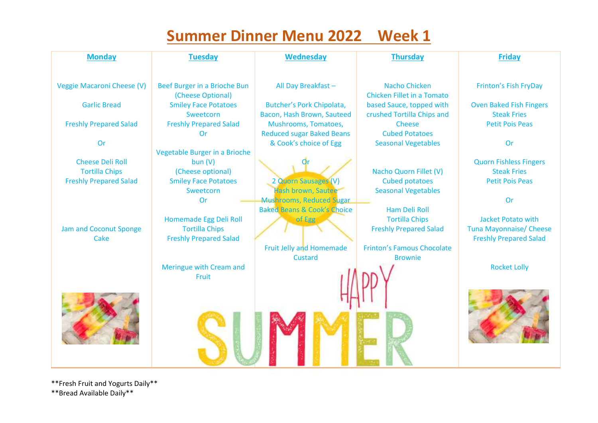## **Summer Dinner Menu 2022 Week 1**

| <b>Monday</b>                 | <b>Tuesday</b>                | <b>Wednesday</b>                                                          | <b>Thursday</b>                   | <b>Friday</b>                  |
|-------------------------------|-------------------------------|---------------------------------------------------------------------------|-----------------------------------|--------------------------------|
| Veggie Macaroni Cheese (V)    | Beef Burger in a Brioche Bun  | All Day Breakfast-                                                        | <b>Nacho Chicken</b>              | Frinton's Fish FryDay          |
|                               | (Cheese Optional)             |                                                                           | <b>Chicken Fillet in a Tomato</b> |                                |
| <b>Garlic Bread</b>           | <b>Smiley Face Potatoes</b>   | Butcher's Pork Chipolata,                                                 | based Sauce, topped with          | <b>Oven Baked Fish Fingers</b> |
|                               | Sweetcorn                     | Bacon, Hash Brown, Sauteed                                                | crushed Tortilla Chips and        | <b>Steak Fries</b>             |
| <b>Freshly Prepared Salad</b> | <b>Freshly Prepared Salad</b> | Mushrooms, Tomatoes,                                                      | <b>Cheese</b>                     | <b>Petit Pois Peas</b>         |
|                               | <b>Or</b>                     | <b>Reduced sugar Baked Beans</b>                                          | <b>Cubed Potatoes</b>             |                                |
| Or                            |                               | & Cook's choice of Egg                                                    | <b>Seasonal Vegetables</b>        | Or                             |
|                               | Vegetable Burger in a Brioche |                                                                           |                                   |                                |
| <b>Cheese Deli Roll</b>       | bun(V)                        |                                                                           |                                   | <b>Quorn Fishless Fingers</b>  |
| <b>Tortilla Chips</b>         | (Cheese optional)             |                                                                           | Nacho Quorn Fillet (V)            | <b>Steak Fries</b>             |
| <b>Freshly Prepared Salad</b> | <b>Smiley Face Potatoes</b>   | 2 Quorn Sausages (V)                                                      | <b>Cubed potatoes</b>             | <b>Petit Pois Peas</b>         |
|                               | Sweetcorn                     | Hash brown, Sautee                                                        | <b>Seasonal Vegetables</b>        |                                |
|                               | <b>Or</b>                     | <b>Mushrooms, Reduced Sugar</b><br><b>Baked Beans &amp; Cook's Choice</b> | <b>Ham Deli Roll</b>              | Or                             |
|                               | Homemade Egg Deli Roll        | of Egg                                                                    | <b>Tortilla Chips</b>             | <b>Jacket Potato with</b>      |
| Jam and Coconut Sponge        | <b>Tortilla Chips</b>         |                                                                           | <b>Freshly Prepared Salad</b>     | <b>Tuna Mayonnaise/ Cheese</b> |
| Cake                          | <b>Freshly Prepared Salad</b> |                                                                           |                                   | <b>Freshly Prepared Salad</b>  |
|                               |                               | <b>Fruit Jelly and Homemade</b>                                           | <b>Frinton's Famous Chocolate</b> |                                |
|                               |                               | <b>Custard</b>                                                            | <b>Brownie</b>                    |                                |
|                               | Meringue with Cream and       |                                                                           |                                   | <b>Rocket Lolly</b>            |
|                               | Fruit                         |                                                                           |                                   |                                |
|                               |                               |                                                                           |                                   |                                |
|                               |                               |                                                                           |                                   |                                |
|                               |                               |                                                                           |                                   |                                |
|                               |                               |                                                                           |                                   |                                |
|                               |                               |                                                                           |                                   |                                |
|                               |                               |                                                                           |                                   |                                |
|                               |                               |                                                                           |                                   |                                |
|                               |                               |                                                                           |                                   |                                |

\*\*Fresh Fruit and Yogurts Daily\*\* \*\*Bread Available Daily\*\*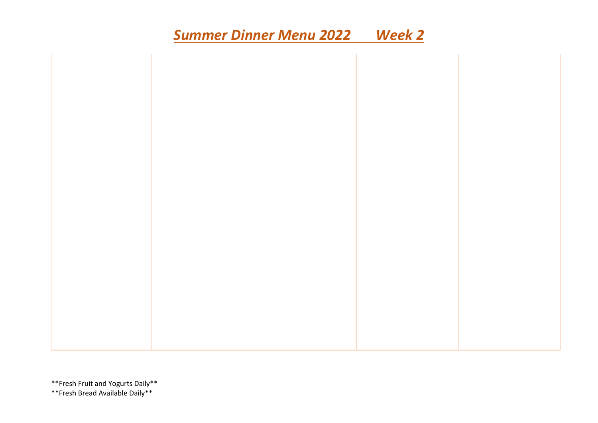## *Summer Dinner Menu 2022 Week 2*